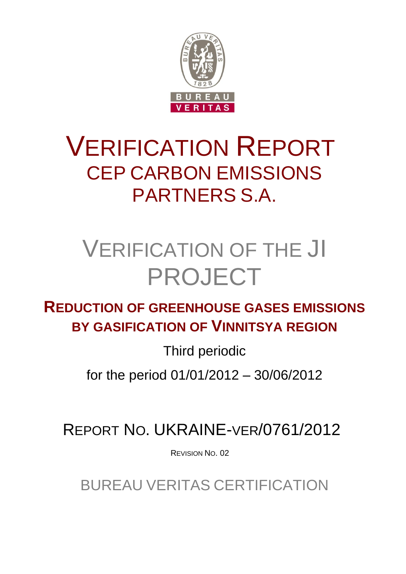

# VERIFICATION REPORT CEP CARBON EMISSIONS PARTNERS S.A.

# VERIFICATION OF THE JI PROJECT

**REDUCTION OF GREENHOUSE GASES EMISSIONS BY GASIFICATION OF VINNITSYA REGION**

Third periodic

for the period 01/01/2012 – 30/06/2012

REPORT NO. UKRAINE-VER/0761/2012

REVISION NO. 02

BUREAU VERITAS CERTIFICATION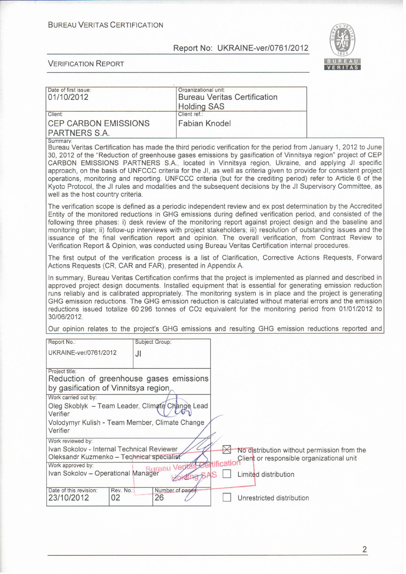

| Date of first issue:<br>01/10/2012                                                                                                                                                                                                                                                                                                                                                                                                                                                                                                                                                                                                                                                                                               |                | Organizational unit:<br><b>Holding SAS</b> |  | <b>Bureau Veritas Certification</b> |  |  |
|----------------------------------------------------------------------------------------------------------------------------------------------------------------------------------------------------------------------------------------------------------------------------------------------------------------------------------------------------------------------------------------------------------------------------------------------------------------------------------------------------------------------------------------------------------------------------------------------------------------------------------------------------------------------------------------------------------------------------------|----------------|--------------------------------------------|--|-------------------------------------|--|--|
| Client:                                                                                                                                                                                                                                                                                                                                                                                                                                                                                                                                                                                                                                                                                                                          |                | Client ref.:                               |  |                                     |  |  |
| <b>CEP CARBON EMISSIONS</b><br>PARTNERS S.A.                                                                                                                                                                                                                                                                                                                                                                                                                                                                                                                                                                                                                                                                                     |                | <b>Fabian Knodel</b>                       |  |                                     |  |  |
| Summary:                                                                                                                                                                                                                                                                                                                                                                                                                                                                                                                                                                                                                                                                                                                         |                |                                            |  |                                     |  |  |
| Bureau Veritas Certification has made the third periodic verification for the period from January 1, 2012 to June<br>30, 2012 of the "Reduction of greenhouse gases emissions by gasification of Vinnitsya region" project of CEP<br>CARBON EMISSIONS PARTNERS S.A., located in Vinnitsya region, Ukraine, and applying JI specific<br>approach, on the basis of UNFCCC criteria for the JI, as well as criteria given to provide for consistent project<br>operations, monitoring and reporting. UNFCCC criteria (but for the crediting period) refer to Article 6 of the<br>Kyoto Protocol, the JI rules and modalities and the subsequent decisions by the JI Supervisory Committee, as<br>well as the host country criteria. |                |                                            |  |                                     |  |  |
| The verification scope is defined as a periodic independent review and ex post determination by the Accredited<br>Entity of the monitored reductions in GHG emissions during defined verification period, and consisted of the<br>following three phases: i) desk review of the monitoring report against project design and the baseline and<br>monitoring plan; ii) follow-up interviews with project stakeholders; iii) resolution of outstanding issues and the<br>issuance of the final verification report and opinion. The overall verification, from Contract Review to<br>Verification Report & Opinion, was conducted using Bureau Veritas Certification internal procedures.                                          |                |                                            |  |                                     |  |  |
| The first output of the verification process is a list of Clarification, Corrective Actions Requests, Forward<br>Actions Requests (CR, CAR and FAR), presented in Appendix A.                                                                                                                                                                                                                                                                                                                                                                                                                                                                                                                                                    |                |                                            |  |                                     |  |  |
| In summary, Bureau Veritas Certification confirms that the project is implemented as planned and described in<br>approved project design documents. Installed equipment that is essential for generating emission reduction<br>runs reliably and is calibrated appropriately. The monitoring system is in place and the project is generating<br>GHG emission reductions. The GHG emission reduction is calculated without material errors and the emission<br>reductions issued totalize 60 296 tonnes of CO2 equivalent for the monitoring period from 01/01/2012 to<br>30/06/2012.                                                                                                                                            |                |                                            |  |                                     |  |  |
| Our opinion relates to the project's GHG emissions and resulting GHG emission reductions reported and                                                                                                                                                                                                                                                                                                                                                                                                                                                                                                                                                                                                                            |                |                                            |  |                                     |  |  |
| Report No.:                                                                                                                                                                                                                                                                                                                                                                                                                                                                                                                                                                                                                                                                                                                      | Subject Group: |                                            |  |                                     |  |  |
| UKRAINE-ver/0761/2012                                                                                                                                                                                                                                                                                                                                                                                                                                                                                                                                                                                                                                                                                                            | JI             |                                            |  |                                     |  |  |
| Project title:<br>Reduction of greenhouse gases emissions                                                                                                                                                                                                                                                                                                                                                                                                                                                                                                                                                                                                                                                                        |                |                                            |  |                                     |  |  |
| by gasification of Vinnitsya region                                                                                                                                                                                                                                                                                                                                                                                                                                                                                                                                                                                                                                                                                              |                |                                            |  |                                     |  |  |
| Work carried out by:                                                                                                                                                                                                                                                                                                                                                                                                                                                                                                                                                                                                                                                                                                             |                |                                            |  |                                     |  |  |
| Oleg Skoblyk - Team Leader, Climate Change Lead<br>Verifier                                                                                                                                                                                                                                                                                                                                                                                                                                                                                                                                                                                                                                                                      |                |                                            |  |                                     |  |  |
| Volodymyr Kulish - Team Member, Climate Change<br>Verifier                                                                                                                                                                                                                                                                                                                                                                                                                                                                                                                                                                                                                                                                       |                |                                            |  |                                     |  |  |
| Work reviewed by:                                                                                                                                                                                                                                                                                                                                                                                                                                                                                                                                                                                                                                                                                                                |                |                                            |  |                                     |  |  |
| Ivan Sokolov - Internal Technical Reviewer<br>No distribution without permission from the<br>Oleksandr Kuzmenko - Technical specialist                                                                                                                                                                                                                                                                                                                                                                                                                                                                                                                                                                                           |                |                                            |  |                                     |  |  |
| Client or responsible organizational unit<br>ncatio<br>Work approved by:                                                                                                                                                                                                                                                                                                                                                                                                                                                                                                                                                                                                                                                         |                |                                            |  |                                     |  |  |
| Ivan Sokolov - Operational Manager                                                                                                                                                                                                                                                                                                                                                                                                                                                                                                                                                                                                                                                                                               |                |                                            |  | Limited distribution                |  |  |
| Date of this revision:<br>Rev. No.:<br>23/10/2012<br>02                                                                                                                                                                                                                                                                                                                                                                                                                                                                                                                                                                                                                                                                          | 26             | Number of pages:                           |  | Unrestricted distribution           |  |  |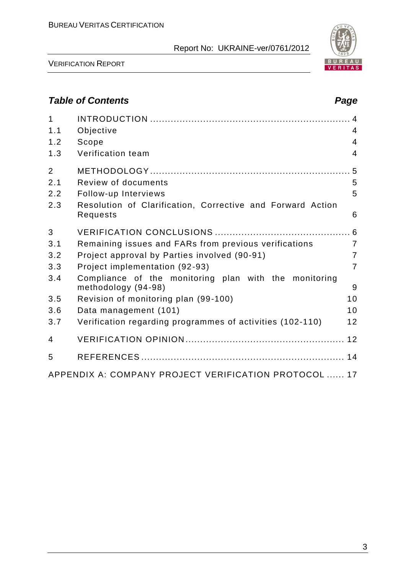

VERIFICATION REPORT

# *Table of Contents Page*

| $\mathbf{1}$<br>1.1 | Objective                                                                    | $\overline{4}$ |
|---------------------|------------------------------------------------------------------------------|----------------|
| 1.2                 | Scope                                                                        | $\overline{4}$ |
| 1.3                 | Verification team                                                            | $\overline{4}$ |
| $\overline{2}$      |                                                                              |                |
| 2.1                 | Review of documents                                                          | 5              |
| 2.2                 | Follow-up Interviews                                                         | 5              |
| 2.3                 | Resolution of Clarification, Corrective and Forward Action<br>Requests       | 6              |
| 3                   |                                                                              |                |
| 3.1                 | Remaining issues and FARs from previous verifications                        | $\overline{7}$ |
| 3.2                 | Project approval by Parties involved (90-91)                                 | $\overline{7}$ |
| 3.3                 | Project implementation (92-93)                                               | $\overline{7}$ |
| 3.4                 | Compliance of the monitoring plan with the monitoring<br>methodology (94-98) | 9              |
| 3.5                 | Revision of monitoring plan (99-100)                                         | 10             |
| 3.6                 | Data management (101)                                                        | 10             |
| 3.7                 | Verification regarding programmes of activities (102-110)                    | 12             |
| $\overline{4}$      |                                                                              |                |
| 5                   |                                                                              |                |
|                     | APPENDIX A: COMPANY PROJECT VERIFICATION PROTOCOL  17                        |                |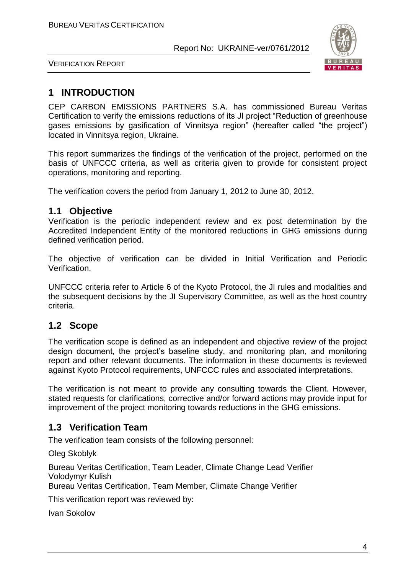

VERIFICATION REPORT

# **1 INTRODUCTION**

CEP CARBON EMISSIONS PARTNERS S.A. has commissioned Bureau Veritas Certification to verify the emissions reductions of its JI project "Reduction of greenhouse gases emissions by gasification of Vinnitsya region" (hereafter called "the project") located in Vinnitsya region, Ukraine.

This report summarizes the findings of the verification of the project, performed on the basis of UNFCCC criteria, as well as criteria given to provide for consistent project operations, monitoring and reporting.

The verification covers the period from January 1, 2012 to June 30, 2012.

## **1.1 Objective**

Verification is the periodic independent review and ex post determination by the Accredited Independent Entity of the monitored reductions in GHG emissions during defined verification period.

The objective of verification can be divided in Initial Verification and Periodic Verification.

UNFCCC criteria refer to Article 6 of the Kyoto Protocol, the JI rules and modalities and the subsequent decisions by the JI Supervisory Committee, as well as the host country criteria.

# **1.2 Scope**

The verification scope is defined as an independent and objective review of the project design document, the project's baseline study, and monitoring plan, and monitoring report and other relevant documents. The information in these documents is reviewed against Kyoto Protocol requirements, UNFCCC rules and associated interpretations.

The verification is not meant to provide any consulting towards the Client. However, stated requests for clarifications, corrective and/or forward actions may provide input for improvement of the project monitoring towards reductions in the GHG emissions.

# **1.3 Verification Team**

The verification team consists of the following personnel:

Oleg Skoblyk

Bureau Veritas Certification, Team Leader, Climate Change Lead Verifier Volodymyr Kulish

Bureau Veritas Certification, Team Member, Climate Change Verifier

This verification report was reviewed by:

Ivan Sokolov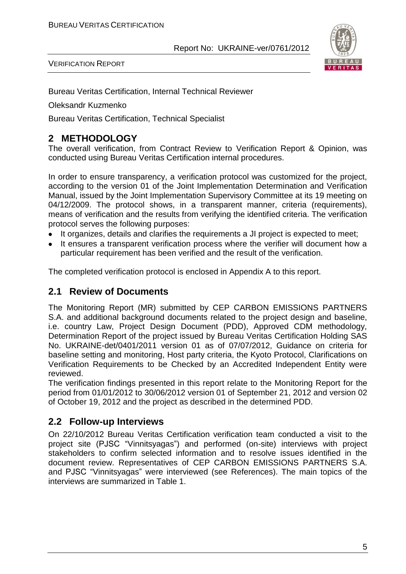



Bureau Veritas Certification, Internal Technical Reviewer

Oleksandr Kuzmenko

Bureau Veritas Certification, Technical Specialist

# **2 METHODOLOGY**

The overall verification, from Contract Review to Verification Report & Opinion, was conducted using Bureau Veritas Certification internal procedures.

In order to ensure transparency, a verification protocol was customized for the project, according to the version 01 of the Joint Implementation Determination and Verification Manual, issued by the Joint Implementation Supervisory Committee at its 19 meeting on 04/12/2009. The protocol shows, in a transparent manner, criteria (requirements), means of verification and the results from verifying the identified criteria. The verification protocol serves the following purposes:

- It organizes, details and clarifies the requirements a JI project is expected to meet;  $\bullet$
- It ensures a transparent verification process where the verifier will document how a particular requirement has been verified and the result of the verification.

The completed verification protocol is enclosed in Appendix A to this report.

## **2.1 Review of Documents**

The Monitoring Report (MR) submitted by CEP CARBON EMISSIONS PARTNERS S.A. and additional background documents related to the project design and baseline, i.e. country Law, Project Design Document (PDD), Approved CDM methodology, Determination Report of the project issued by Bureau Veritas Certification Holding SAS No. UKRAINE-det/0401/2011 version 01 as of 07/07/2012, Guidance on criteria for baseline setting and monitoring, Host party criteria, the Kyoto Protocol, Clarifications on Verification Requirements to be Checked by an Accredited Independent Entity were reviewed.

The verification findings presented in this report relate to the Monitoring Report for the period from 01/01/2012 to 30/06/2012 version 01 of September 21, 2012 and version 02 of October 19, 2012 and the project as described in the determined PDD.

# **2.2 Follow-up Interviews**

On 22/10/2012 Bureau Veritas Certification verification team conducted a visit to the project site (PJSC "Vinnitsyagas") and performed (on-site) interviews with project stakeholders to confirm selected information and to resolve issues identified in the document review. Representatives of CEP CARBON EMISSIONS PARTNERS S.A. and PJSC "Vinnitsyagas" were interviewed (see References). The main topics of the interviews are summarized in Table 1.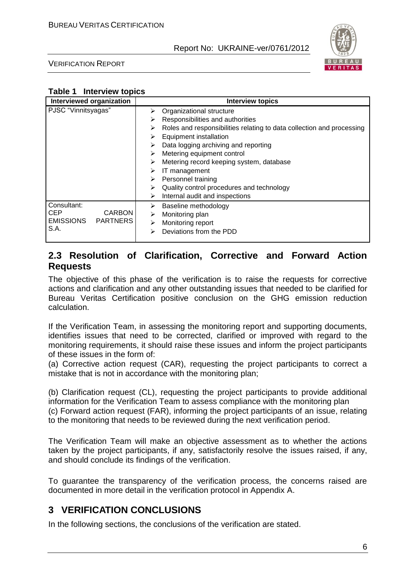

VERIFICATION REPORT

## **Table 1 Interview topics**

| Interviewed organization |                    | <b>Interview topics</b>                                               |
|--------------------------|--------------------|-----------------------------------------------------------------------|
| PJSC "Vinnitsyagas"      | ➤                  | Organizational structure                                              |
|                          | ➤                  | Responsibilities and authorities                                      |
|                          | ⋗                  | Roles and responsibilities relating to data collection and processing |
|                          | ➤                  | Equipment installation                                                |
|                          | ➤                  | Data logging archiving and reporting                                  |
|                          | ➤                  | Metering equipment control                                            |
|                          | ⋗                  | Metering record keeping system, database                              |
|                          | ⋗                  | IT management                                                         |
|                          | ➤                  | Personnel training                                                    |
|                          | ⋗                  | Quality control procedures and technology                             |
|                          | ⋗                  | Internal audit and inspections                                        |
| Consultant:              | ⋗                  | Baseline methodology                                                  |
| <b>CEP</b>               | <b>CARBON</b><br>➤ | Monitoring plan                                                       |
| EMISSIONS PARTNERS       | ➤                  | Monitoring report                                                     |
| S.A.                     | ⋗                  | Deviations from the PDD                                               |
|                          |                    |                                                                       |

# **2.3 Resolution of Clarification, Corrective and Forward Action Requests**

The objective of this phase of the verification is to raise the requests for corrective actions and clarification and any other outstanding issues that needed to be clarified for Bureau Veritas Certification positive conclusion on the GHG emission reduction calculation.

If the Verification Team, in assessing the monitoring report and supporting documents, identifies issues that need to be corrected, clarified or improved with regard to the monitoring requirements, it should raise these issues and inform the project participants of these issues in the form of:

(a) Corrective action request (CAR), requesting the project participants to correct a mistake that is not in accordance with the monitoring plan;

(b) Clarification request (CL), requesting the project participants to provide additional information for the Verification Team to assess compliance with the monitoring plan (c) Forward action request (FAR), informing the project participants of an issue, relating to the monitoring that needs to be reviewed during the next verification period.

The Verification Team will make an objective assessment as to whether the actions taken by the project participants, if any, satisfactorily resolve the issues raised, if any, and should conclude its findings of the verification.

To guarantee the transparency of the verification process, the concerns raised are documented in more detail in the verification protocol in Appendix A.

# **3 VERIFICATION CONCLUSIONS**

In the following sections, the conclusions of the verification are stated.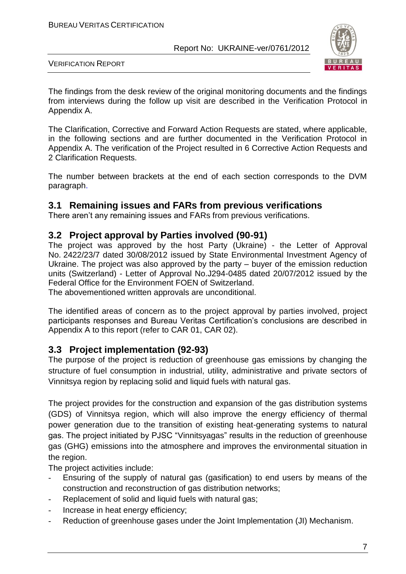

VERIFICATION REPORT

The findings from the desk review of the original monitoring documents and the findings from interviews during the follow up visit are described in the Verification Protocol in Appendix A.

The Clarification, Corrective and Forward Action Requests are stated, where applicable, in the following sections and are further documented in the Verification Protocol in Appendix A. The verification of the Project resulted in 6 Corrective Action Requests and 2 Clarification Requests.

The number between brackets at the end of each section corresponds to the DVM paragraph.

# **3.1 Remaining issues and FARs from previous verifications**

There aren't any remaining issues and FARs from previous verifications.

## **3.2 Project approval by Parties involved (90-91)**

The project was approved by the host Party (Ukraine) - the Letter of Approval No. 2422/23/7 dated 30/08/2012 issued by State Environmental Investment Agency of Ukraine. The project was also approved by the party – buyer of the emission reduction units (Switzerland) - Letter of Approval No.J294-0485 dated 20/07/2012 issued by the Federal Office for the Environment FOEN of Switzerland.

The abovementioned written approvals are unconditional.

The identified areas of concern as to the project approval by parties involved, project participants responses and Bureau Veritas Certification's conclusions are described in Appendix A to this report (refer to CAR 01, CAR 02).

# **3.3 Project implementation (92-93)**

The purpose of the project is reduction of greenhouse gas emissions by changing the structure of fuel consumption in industrial, utility, administrative and private sectors of Vinnitsya region by replacing solid and liquid fuels with natural gas.

The project provides for the construction and expansion of the gas distribution systems (GDS) of Vinnitsya region, which will also improve the energy efficiency of thermal power generation due to the transition of existing heat-generating systems to natural gas. The project initiated by PJSC "Vinnitsyagas" results in the reduction of greenhouse gas (GHG) emissions into the atmosphere and improves the environmental situation in the region.

The project activities include:

- Ensuring of the supply of natural gas (gasification) to end users by means of the construction and reconstruction of gas distribution networks;
- Replacement of solid and liquid fuels with natural gas;
- Increase in heat energy efficiency;
- Reduction of greenhouse gases under the Joint Implementation (JI) Mechanism.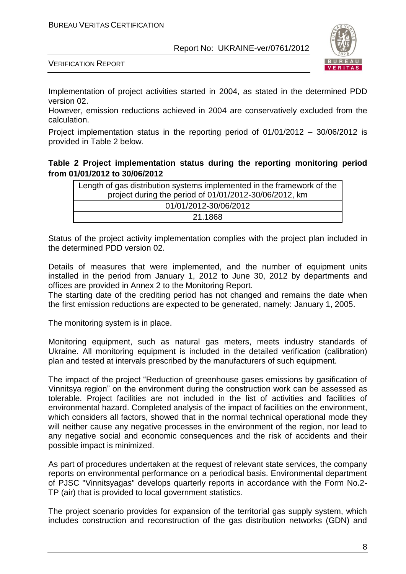

VERIFICATION REPORT

Implementation of project activities started in 2004, as stated in the determined PDD version 02.

However, emission reductions achieved in 2004 are conservatively excluded from the calculation.

Project implementation status in the reporting period of 01/01/2012 – 30/06/2012 is provided in Table 2 below.

### **Table 2 Project implementation status during the reporting monitoring period from 01/01/2012 to 30/06/2012**

| Length of gas distribution systems implemented in the framework of the |
|------------------------------------------------------------------------|
| project during the period of 01/01/2012-30/06/2012, km                 |
| 01/01/2012-30/06/2012                                                  |
| 21.1868                                                                |

Status of the project activity implementation complies with the project plan included in the determined PDD version 02.

Details of measures that were implemented, and the number of equipment units installed in the period from January 1, 2012 to June 30, 2012 by departments and offices are provided in Annex 2 to the Monitoring Report.

The starting date of the crediting period has not changed and remains the date when the first emission reductions are expected to be generated, namely: January 1, 2005.

The monitoring system is in place.

Monitoring equipment, such as natural gas meters, meets industry standards of Ukraine. All monitoring equipment is included in the detailed verification (calibration) plan and tested at intervals prescribed by the manufacturers of such equipment.

The impact of the project "Reduction of greenhouse gases emissions by gasification of Vinnitsya region" on the environment during the construction work can be assessed as tolerable. Project facilities are not included in the list of activities and facilities of environmental hazard. Completed analysis of the impact of facilities on the environment, which considers all factors, showed that in the normal technical operational mode they will neither cause any negative processes in the environment of the region, nor lead to any negative social and economic consequences and the risk of accidents and their possible impact is minimized.

As part of procedures undertaken at the request of relevant state services, the company reports on environmental performance on a periodical basis. Environmental department of PJSC "Vinnitsyagas" develops quarterly reports in accordance with the Form No.2- TP (air) that is provided to local government statistics.

The project scenario provides for expansion of the territorial gas supply system, which includes construction and reconstruction of the gas distribution networks (GDN) and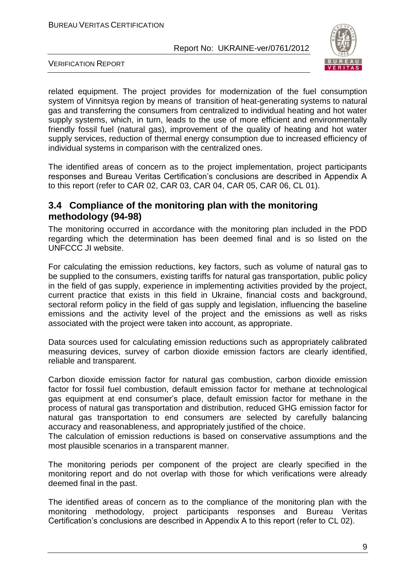

VERIFICATION REPORT

related equipment. The project provides for modernization of the fuel consumption system of Vinnitsya region by means of transition of heat-generating systems to natural gas and transferring the consumers from centralized to individual heating and hot water supply systems, which, in turn, leads to the use of more efficient and environmentally friendly fossil fuel (natural gas), improvement of the quality of heating and hot water supply services, reduction of thermal energy consumption due to increased efficiency of individual systems in comparison with the centralized ones.

The identified areas of concern as to the project implementation, project participants responses and Bureau Veritas Certification's conclusions are described in Appendix A to this report (refer to CAR 02, CAR 03, CAR 04, CAR 05, CAR 06, CL 01).

## **3.4 Compliance of the monitoring plan with the monitoring methodology (94-98)**

The monitoring occurred in accordance with the monitoring plan included in the PDD regarding which the determination has been deemed final and is so listed on the UNFCCC JI website.

For calculating the emission reductions, key factors, such as volume of natural gas to be supplied to the consumers, existing tariffs for natural gas transportation, public policy in the field of gas supply, experience in implementing activities provided by the project, current practice that exists in this field in Ukraine, financial costs and background, sectoral reform policy in the field of gas supply and legislation, influencing the baseline emissions and the activity level of the project and the emissions as well as risks associated with the project were taken into account, as appropriate.

Data sources used for calculating emission reductions such as appropriately calibrated measuring devices, survey of carbon dioxide emission factors are clearly identified, reliable and transparent.

Carbon dioxide emission factor for natural gas combustion, carbon dioxide emission factor for fossil fuel combustion, default emission factor for methane at technological gas equipment at end consumer's place, default emission factor for methane in the process of natural gas transportation and distribution, reduced GHG emission factor for natural gas transportation to end consumers are selected by carefully balancing accuracy and reasonableness, and appropriately justified of the choice.

The calculation of emission reductions is based on conservative assumptions and the most plausible scenarios in a transparent manner.

The monitoring periods per component of the project are clearly specified in the monitoring report and do not overlap with those for which verifications were already deemed final in the past.

The identified areas of concern as to the compliance of the monitoring plan with the monitoring methodology, project participants responses and Bureau Veritas Certification's conclusions are described in Appendix A to this report (refer to CL 02).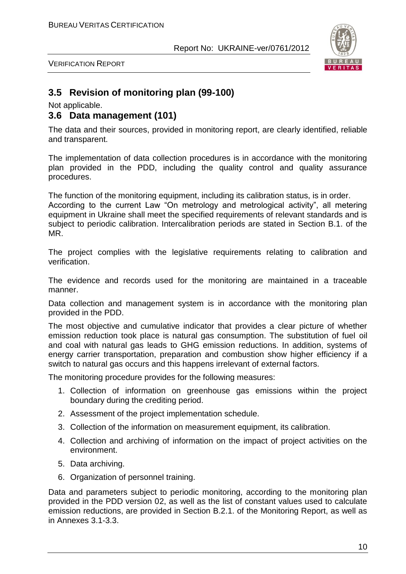

VERIFICATION REPORT

# **3.5 Revision of monitoring plan (99-100)**

Not applicable.

## **3.6 Data management (101)**

The data and their sources, provided in monitoring report, are clearly identified, reliable and transparent.

The implementation of data collection procedures is in accordance with the monitoring plan provided in the PDD, including the quality control and quality assurance procedures.

The function of the monitoring equipment, including its calibration status, is in order. According to the current Law "On metrology and metrological activity", all metering equipment in Ukraine shall meet the specified requirements of relevant standards and is subject to periodic calibration. Intercalibration periods are stated in Section B.1. of the MR.

The project complies with the legislative requirements relating to calibration and verification.

The evidence and records used for the monitoring are maintained in a traceable manner.

Data collection and management system is in accordance with the monitoring plan provided in the PDD.

The most objective and cumulative indicator that provides a clear picture of whether emission reduction took place is natural gas consumption. The substitution of fuel oil and coal with natural gas leads to GHG emission reductions. In addition, systems of energy carrier transportation, preparation and combustion show higher efficiency if a switch to natural gas occurs and this happens irrelevant of external factors.

The monitoring procedure provides for the following measures:

- 1. Collection of information on greenhouse gas emissions within the project boundary during the crediting period.
- 2. Assessment of the project implementation schedule.
- 3. Collection of the information on measurement equipment, its calibration.
- 4. Collection and archiving of information on the impact of project activities on the environment.
- 5. Data archiving.
- 6. Organization of personnel training.

Data and parameters subject to periodic monitoring, according to the monitoring plan provided in the PDD version 02, as well as the list of constant values used to calculate emission reductions, are provided in Section B.2.1. of the Monitoring Report, as well as in Annexes 3.1-3.3.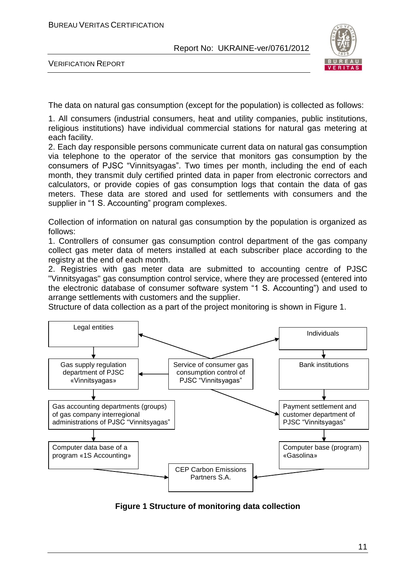

VERIFICATION REPORT

The data on natural gas consumption (except for the population) is collected as follows:

1. All consumers (industrial consumers, heat and utility companies, public institutions, religious institutions) have individual commercial stations for natural gas metering at each facility.

2. Each day responsible persons communicate current data on natural gas consumption via telephone to the operator of the service that monitors gas consumption by the consumers of PJSC "Vinnitsyagas". Two times per month, including the end of each month, they transmit duly certified printed data in paper from electronic correctors and calculators, or provide copies of gas consumption logs that contain the data of gas meters. These data are stored and used for settlements with consumers and the supplier in "1 S. Accounting" program complexes.

Collection of information on natural gas consumption by the population is organized as follows:

1. Controllers of consumer gas consumption control department of the gas company collect gas meter data of meters installed at each subscriber place according to the registry at the end of each month.

2. Registries with gas meter data are submitted to accounting centre of PJSC "Vinnitsyagas" gas consumption control service, where they are processed (entered into the electronic database of consumer software system "1 S. Accounting") and used to arrange settlements with customers and the supplier.

Structure of data collection as a part of the project monitoring is shown in Figure 1.



**Figure 1 Structure of monitoring data collection**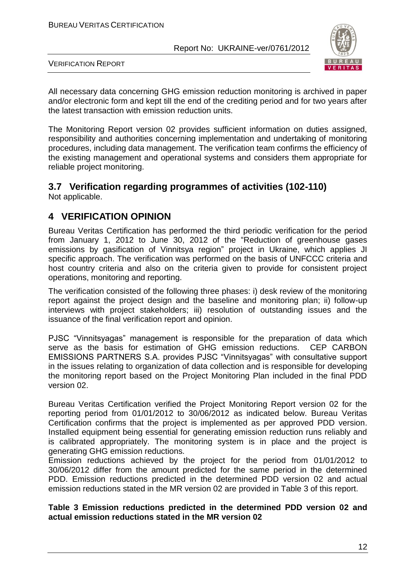

VERIFICATION REPORT

All necessary data concerning GHG emission reduction monitoring is archived in paper and/or electronic form and kept till the end of the crediting period and for two years after the latest transaction with emission reduction units.

The Monitoring Report version 02 provides sufficient information on duties assigned, responsibility and authorities concerning implementation and undertaking of monitoring procedures, including data management. The verification team confirms the efficiency of the existing management and operational systems and considers them appropriate for reliable project monitoring.

## **3.7 Verification regarding programmes of activities (102-110)**  Not applicable.

# **4 VERIFICATION OPINION**

Bureau Veritas Certification has performed the third periodic verification for the period from January 1, 2012 to June 30, 2012 of the "Reduction of greenhouse gases emissions by gasification of Vinnitsya region" project in Ukraine, which applies JI specific approach. The verification was performed on the basis of UNFCCC criteria and host country criteria and also on the criteria given to provide for consistent project operations, monitoring and reporting.

The verification consisted of the following three phases: i) desk review of the monitoring report against the project design and the baseline and monitoring plan; ii) follow-up interviews with project stakeholders; iii) resolution of outstanding issues and the issuance of the final verification report and opinion.

PJSC "Vinnitsyagas" management is responsible for the preparation of data which serve as the basis for estimation of GHG emission reductions. CEP CARBON EMISSIONS PARTNERS S.A. provides PJSC "Vinnitsyagas" with consultative support in the issues relating to organization of data collection and is responsible for developing the monitoring report based on the Project Monitoring Plan included in the final PDD version 02.

Bureau Veritas Certification verified the Project Monitoring Report version 02 for the reporting period from 01/01/2012 to 30/06/2012 as indicated below. Bureau Veritas Certification confirms that the project is implemented as per approved PDD version. Installed equipment being essential for generating emission reduction runs reliably and is calibrated appropriately. The monitoring system is in place and the project is generating GHG emission reductions.

Emission reductions achieved by the project for the period from 01/01/2012 to 30/06/2012 differ from the amount predicted for the same period in the determined PDD. Emission reductions predicted in the determined PDD version 02 and actual emission reductions stated in the MR version 02 are provided in Table 3 of this report.

## **Table 3 Emission reductions predicted in the determined PDD version 02 and actual emission reductions stated in the MR version 02**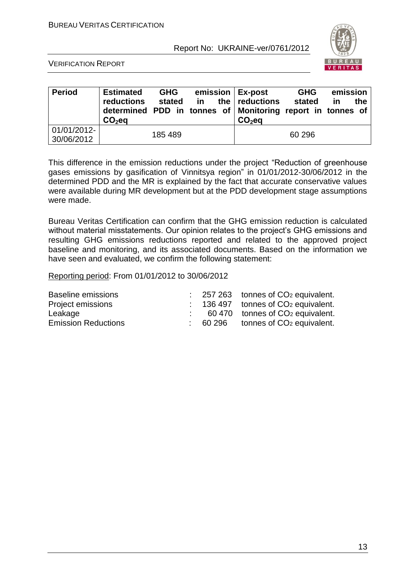

VERIFICATION REPORT

| <b>Period</b>             | <b>Estimated</b><br>reductions<br>determined PDD in tonnes of Monitoring report in tonnes of<br>$CO2$ eq | <b>GHG</b><br>stated | in | emission   Ex-post<br>the   reductions<br>$CO2$ eq | <b>GHG</b><br>stated | emission<br>in | the |
|---------------------------|----------------------------------------------------------------------------------------------------------|----------------------|----|----------------------------------------------------|----------------------|----------------|-----|
| 01/01/2012-<br>30/06/2012 |                                                                                                          | 185489               |    |                                                    | 60 296               |                |     |

This difference in the emission reductions under the project "Reduction of greenhouse gases emissions by gasification of Vinnitsya region" in 01/01/2012-30/06/2012 in the determined PDD and the MR is explained by the fact that accurate conservative values were available during MR development but at the PDD development stage assumptions were made.

Bureau Veritas Certification can confirm that the GHG emission reduction is calculated without material misstatements. Our opinion relates to the project's GHG emissions and resulting GHG emissions reductions reported and related to the approved project baseline and monitoring, and its associated documents. Based on the information we have seen and evaluated, we confirm the following statement:

Reporting period: From 01/01/2012 to 30/06/2012

| <b>Baseline emissions</b>  |  | $\therefore$ 257 263 tonnes of CO <sub>2</sub> equivalent. |
|----------------------------|--|------------------------------------------------------------|
| Project emissions          |  | $\therefore$ 136 497 tonnes of CO <sub>2</sub> equivalent. |
| Leakage                    |  | 60 470 tonnes of CO <sub>2</sub> equivalent.               |
| <b>Emission Reductions</b> |  | 60 296 tonnes of CO <sub>2</sub> equivalent.               |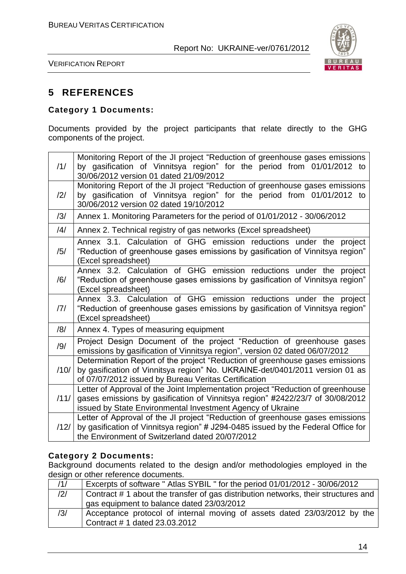

VERIFICATION REPORT

# **5 REFERENCES**

## **Category 1 Documents:**

Documents provided by the project participants that relate directly to the GHG components of the project.

| /1/            | Monitoring Report of the JI project "Reduction of greenhouse gases emissions<br>by gasification of Vinnitsya region" for the period from 01/01/2012 to                                                                         |
|----------------|--------------------------------------------------------------------------------------------------------------------------------------------------------------------------------------------------------------------------------|
|                | 30/06/2012 version 01 dated 21/09/2012                                                                                                                                                                                         |
| $\frac{12}{1}$ | Monitoring Report of the JI project "Reduction of greenhouse gases emissions<br>by gasification of Vinnitsya region" for the period from 01/01/2012 to                                                                         |
|                | 30/06/2012 version 02 dated 19/10/2012                                                                                                                                                                                         |
| /3/            | Annex 1. Monitoring Parameters for the period of 01/01/2012 - 30/06/2012                                                                                                                                                       |
| /4/            | Annex 2. Technical registry of gas networks (Excel spreadsheet)                                                                                                                                                                |
| /5/            | Annex 3.1. Calculation of GHG emission reductions under the project<br>"Reduction of greenhouse gases emissions by gasification of Vinnitsya region"<br>(Excel spreadsheet)                                                    |
| /6/            | Annex 3.2. Calculation of GHG emission reductions under the project<br>"Reduction of greenhouse gases emissions by gasification of Vinnitsya region"<br>(Excel spreadsheet)                                                    |
| 7              | Annex 3.3. Calculation of GHG emission reductions under the project<br>"Reduction of greenhouse gases emissions by gasification of Vinnitsya region"<br>(Excel spreadsheet)                                                    |
| /8/            | Annex 4. Types of measuring equipment                                                                                                                                                                                          |
| /9/            | Project Design Document of the project "Reduction of greenhouse gases<br>emissions by gasification of Vinnitsya region", version 02 dated 06/07/2012                                                                           |
| /10/           | Determination Report of the project "Reduction of greenhouse gases emissions<br>by gasification of Vinnitsya region" No. UKRAINE-det/0401/2011 version 01 as<br>of 07/07/2012 issued by Bureau Veritas Certification           |
| /11/           | Letter of Approval of the Joint Implementation project "Reduction of greenhouse<br>gases emissions by gasification of Vinnitsya region" #2422/23/7 of 30/08/2012<br>issued by State Environmental Investment Agency of Ukraine |
| /12/           | Letter of Approval of the JI project "Reduction of greenhouse gases emissions<br>by gasification of Vinnitsya region" # J294-0485 issued by the Federal Office for<br>the Environment of Switzerland dated 20/07/2012          |

#### **Category 2 Documents:**

Background documents related to the design and/or methodologies employed in the design or other reference documents.

| /1/ | Excerpts of software " Atlas SYBIL " for the period 01/01/2012 - 30/06/2012        |
|-----|------------------------------------------------------------------------------------|
| /2/ | Contract # 1 about the transfer of gas distribution networks, their structures and |
|     | gas equipment to balance dated 23/03/2012                                          |
| /3/ | Acceptance protocol of internal moving of assets dated 23/03/2012 by the           |
|     | Contract #1 dated $23.03.2012$                                                     |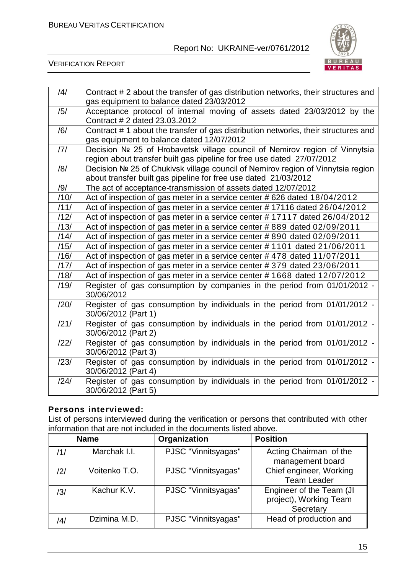

VERIFICATION REPORT

| /4/  | Contract # 2 about the transfer of gas distribution networks, their structures and<br>gas equipment to balance dated 23/03/2012 |
|------|---------------------------------------------------------------------------------------------------------------------------------|
| /5/  | Acceptance protocol of internal moving of assets dated 23/03/2012 by the                                                        |
|      |                                                                                                                                 |
|      | Contract # 2 dated 23.03.2012                                                                                                   |
| /6/  | Contract # 1 about the transfer of gas distribution networks, their structures and                                              |
|      | gas equipment to balance dated 12/07/2012                                                                                       |
| 7    | Decision Nº 25 of Hrobavetsk village council of Nemirov region of Vinnytsia                                                     |
|      | region about transfer built gas pipeline for free use dated 27/07/2012                                                          |
|      |                                                                                                                                 |
| /8/  | Decision Nº 25 of Chukivsk village council of Nemirov region of Vinnytsia region                                                |
|      | about transfer built gas pipeline for free use dated 21/03/2012                                                                 |
| /9/  | The act of acceptance-transmission of assets dated 12/07/2012                                                                   |
| /10/ | Act of inspection of gas meter in a service center #626 dated 18/04/2012                                                        |
| /11/ | Act of inspection of gas meter in a service center #17116 dated 26/04/2012                                                      |
| /12/ | Act of inspection of gas meter in a service center #17117 dated 26/04/2012                                                      |
| /13/ | Act of inspection of gas meter in a service center #889 dated 02/09/2011                                                        |
| /14/ | Act of inspection of gas meter in a service center #890 dated 02/09/2011                                                        |
| /15/ | Act of inspection of gas meter in a service center #1101 dated 21/06/2011                                                       |
| /16/ | Act of inspection of gas meter in a service center #478 dated 11/07/2011                                                        |
| /17/ | Act of inspection of gas meter in a service center #379 dated 23/06/2011                                                        |
| /18/ | Act of inspection of gas meter in a service center #1668 dated 12/07/2012                                                       |
| /19/ | Register of gas consumption by companies in the period from 01/01/2012 -                                                        |
|      | 30/06/2012                                                                                                                      |
| /20/ | Register of gas consumption by individuals in the period from 01/01/2012 -                                                      |
|      | 30/06/2012 (Part 1)                                                                                                             |
|      |                                                                                                                                 |
| /21/ | Register of gas consumption by individuals in the period from 01/01/2012 -                                                      |
|      | 30/06/2012 (Part 2)                                                                                                             |
| /22/ | Register of gas consumption by individuals in the period from 01/01/2012 -                                                      |
|      | 30/06/2012 (Part 3)                                                                                                             |
| /23/ | Register of gas consumption by individuals in the period from 01/01/2012 -                                                      |
|      |                                                                                                                                 |
|      | 30/06/2012 (Part 4)                                                                                                             |
| /24/ | Register of gas consumption by individuals in the period from 01/01/2012 -                                                      |
|      | 30/06/2012 (Part 5)                                                                                                             |

## **Persons interviewed:**

List of persons interviewed during the verification or persons that contributed with other information that are not included in the documents listed above.

|     | <b>Name</b>   | Organization        | <b>Position</b>                                                 |
|-----|---------------|---------------------|-----------------------------------------------------------------|
| /1/ | Marchak I.I.  | PJSC "Vinnitsyagas" | Acting Chairman of the<br>management board                      |
| /2/ | Voitenko T.O. | PJSC "Vinnitsyagas" | Chief engineer, Working<br><b>Team Leader</b>                   |
| /3/ | Kachur K.V.   | PJSC "Vinnitsyagas" | Engineer of the Team (JI<br>project), Working Team<br>Secretary |
| /4/ | Dzimina M.D.  | PJSC "Vinnitsyagas" | Head of production and                                          |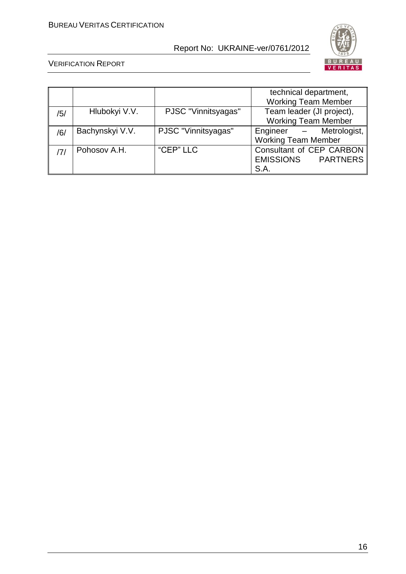

|     |                 |                     | technical department,      |  |  |
|-----|-----------------|---------------------|----------------------------|--|--|
|     |                 |                     | <b>Working Team Member</b> |  |  |
| /5/ | Hlubokyi V.V.   | PJSC "Vinnitsyagas" | Team leader (JI project),  |  |  |
|     |                 |                     | <b>Working Team Member</b> |  |  |
| /6/ | Bachynskyi V.V. | PJSC "Vinnitsyagas" | Metrologist,<br>Engineer – |  |  |
|     |                 |                     | <b>Working Team Member</b> |  |  |
|     | Pohosov A.H.    | "CEP" LLC           | Consultant of CEP CARBON   |  |  |
|     |                 |                     | EMISSIONS PARTNERS         |  |  |
|     |                 |                     | S.A.                       |  |  |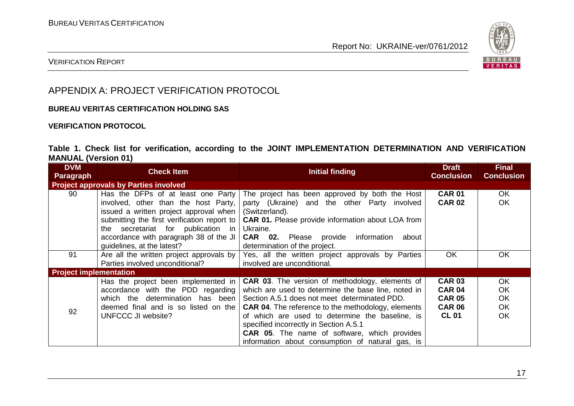

## VERIFICATION REPORT

# APPENDIX A: PROJECT VERIFICATION PROTOCOL

#### **BUREAU VERITAS CERTIFICATION HOLDING SAS**

#### **VERIFICATION PROTOCOL**

### **Table 1. Check list for verification, according to the JOINT IMPLEMENTATION DETERMINATION AND VERIFICATION MANUAL (Version 01)**

| <b>DVM</b><br>Paragraph                      | <b>Check Item</b>                                                                                                                                                                                                                                                                    | <b>Initial finding</b>                                                                                                                                                                                                                                                                                                                                                                                                              | <b>Draft</b><br><b>Conclusion</b>                                                | <b>Final</b><br><b>Conclusion</b>         |
|----------------------------------------------|--------------------------------------------------------------------------------------------------------------------------------------------------------------------------------------------------------------------------------------------------------------------------------------|-------------------------------------------------------------------------------------------------------------------------------------------------------------------------------------------------------------------------------------------------------------------------------------------------------------------------------------------------------------------------------------------------------------------------------------|----------------------------------------------------------------------------------|-------------------------------------------|
| <b>Project approvals by Parties involved</b> |                                                                                                                                                                                                                                                                                      |                                                                                                                                                                                                                                                                                                                                                                                                                                     |                                                                                  |                                           |
| 90                                           | Has the DFPs of at least one Party<br>involved, other than the host Party,<br>issued a written project approval when<br>submitting the first verification report to<br>secretariat for publication in<br>the<br>accordance with paragraph 38 of the JI<br>quidelines, at the latest? | The project has been approved by both the Host<br>party (Ukraine) and the other Party involved<br>(Switzerland).<br><b>CAR 01.</b> Please provide information about LOA from<br>Ukraine.<br><b>CAR 02.</b> Please provide<br>information<br>about<br>determination of the project.                                                                                                                                                  | <b>CAR 01</b><br><b>CAR 02</b>                                                   | OK.<br><b>OK</b>                          |
| 91                                           | Are all the written project approvals by<br>Parties involved unconditional?                                                                                                                                                                                                          | Yes, all the written project approvals by Parties<br>involved are unconditional.                                                                                                                                                                                                                                                                                                                                                    | <b>OK</b>                                                                        | <b>OK</b>                                 |
| <b>Project implementation</b>                |                                                                                                                                                                                                                                                                                      |                                                                                                                                                                                                                                                                                                                                                                                                                                     |                                                                                  |                                           |
| 92                                           | Has the project been implemented in<br>accordance with the PDD regarding<br>which the determination has been<br>deemed final and is so listed on the<br>UNFCCC JI website?                                                                                                           | <b>CAR 03.</b> The version of methodology, elements of<br>which are used to determine the base line, noted in<br>Section A.5.1 does not meet determinated PDD.<br><b>CAR 04.</b> The reference to the methodology, elements<br>of which are used to determine the baseline, is<br>specified incorrectly in Section A.5.1<br><b>CAR 05.</b> The name of software, which provides<br>information about consumption of natural gas, is | <b>CAR 03</b><br><b>CAR 04</b><br><b>CAR 05</b><br><b>CAR 06</b><br><b>CL 01</b> | OK.<br>OK<br>OK<br><b>OK</b><br><b>OK</b> |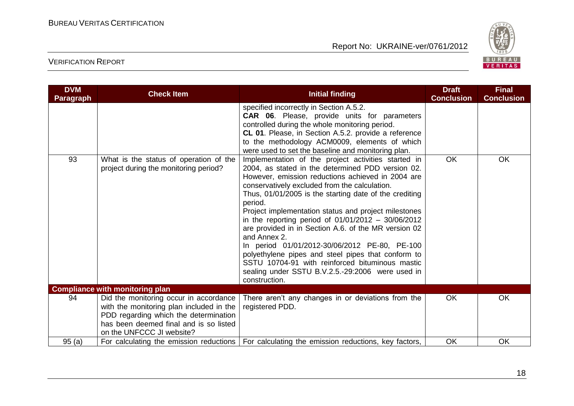

| <b>DVM</b><br>Paragraph | <b>Check Item</b>                                                                                                                                                                                  | <b>Initial finding</b>                                                                                                                                                                                                                                                                                                                                                                                                                                                                                                                                                                                                                                                                                     | <b>Draft</b><br><b>Conclusion</b> | <b>Final</b><br><b>Conclusion</b> |
|-------------------------|----------------------------------------------------------------------------------------------------------------------------------------------------------------------------------------------------|------------------------------------------------------------------------------------------------------------------------------------------------------------------------------------------------------------------------------------------------------------------------------------------------------------------------------------------------------------------------------------------------------------------------------------------------------------------------------------------------------------------------------------------------------------------------------------------------------------------------------------------------------------------------------------------------------------|-----------------------------------|-----------------------------------|
|                         |                                                                                                                                                                                                    | specified incorrectly in Section A.5.2.<br><b>CAR 06.</b> Please, provide units for parameters<br>controlled during the whole monitoring period.<br>CL 01. Please, in Section A.5.2. provide a reference<br>to the methodology ACM0009, elements of which<br>were used to set the baseline and monitoring plan.                                                                                                                                                                                                                                                                                                                                                                                            |                                   |                                   |
| 93                      | What is the status of operation of the<br>project during the monitoring period?                                                                                                                    | Implementation of the project activities started in<br>2004, as stated in the determined PDD version 02.<br>However, emission reductions achieved in 2004 are<br>conservatively excluded from the calculation.<br>Thus, 01/01/2005 is the starting date of the crediting<br>period.<br>Project implementation status and project milestones<br>in the reporting period of $01/01/2012 - 30/06/2012$<br>are provided in in Section A.6. of the MR version 02<br>and Annex 2.<br>In period 01/01/2012-30/06/2012 PE-80, PE-100<br>polyethylene pipes and steel pipes that conform to<br>SSTU 10704-91 with reinforced bituminous mastic<br>sealing under SSTU B.V.2.5.-29:2006 were used in<br>construction. | OK                                | OK                                |
|                         | <b>Compliance with monitoring plan</b>                                                                                                                                                             |                                                                                                                                                                                                                                                                                                                                                                                                                                                                                                                                                                                                                                                                                                            |                                   |                                   |
| 94                      | Did the monitoring occur in accordance<br>with the monitoring plan included in the<br>PDD regarding which the determination<br>has been deemed final and is so listed<br>on the UNFCCC JI website? | There aren't any changes in or deviations from the<br>registered PDD.                                                                                                                                                                                                                                                                                                                                                                                                                                                                                                                                                                                                                                      | OK                                | OK                                |
| 95(a)                   |                                                                                                                                                                                                    | For calculating the emission reductions   For calculating the emission reductions, key factors,                                                                                                                                                                                                                                                                                                                                                                                                                                                                                                                                                                                                            | <b>OK</b>                         | <b>OK</b>                         |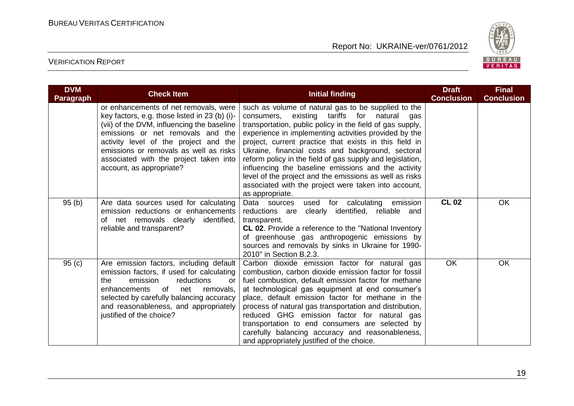

| <b>DVM</b><br><b>Paragraph</b> | <b>Check Item</b>                                                                                                                                                                                                                                                                                                                  | <b>Initial finding</b>                                                                                                                                                                                                                                                                                                                                                                                                                                                                                                                                                                               | <b>Draft</b><br><b>Conclusion</b> | <b>Final</b><br><b>Conclusion</b> |
|--------------------------------|------------------------------------------------------------------------------------------------------------------------------------------------------------------------------------------------------------------------------------------------------------------------------------------------------------------------------------|------------------------------------------------------------------------------------------------------------------------------------------------------------------------------------------------------------------------------------------------------------------------------------------------------------------------------------------------------------------------------------------------------------------------------------------------------------------------------------------------------------------------------------------------------------------------------------------------------|-----------------------------------|-----------------------------------|
|                                | or enhancements of net removals, were<br>key factors, e.g. those listed in 23 (b) (i)-<br>(vii) of the DVM, influencing the baseline<br>emissions or net removals and the<br>activity level of the project and the<br>emissions or removals as well as risks<br>associated with the project taken into<br>account, as appropriate? | such as volume of natural gas to be supplied to the<br>existing tariffs for natural gas<br>consumers.<br>transportation, public policy in the field of gas supply,<br>experience in implementing activities provided by the<br>project, current practice that exists in this field in<br>Ukraine, financial costs and background, sectoral<br>reform policy in the field of gas supply and legislation,<br>influencing the baseline emissions and the activity<br>level of the project and the emissions as well as risks<br>associated with the project were taken into account,<br>as appropriate. |                                   |                                   |
| 95(b)                          | Are data sources used for calculating<br>emission reductions or enhancements<br>of net removals clearly identified,<br>reliable and transparent?                                                                                                                                                                                   | Data sources<br>used for calculating emission<br>reductions are<br>clearly identified, reliable and<br>transparent.<br><b>CL 02.</b> Provide a reference to the "National Inventory<br>of greenhouse gas anthropogenic emissions by<br>sources and removals by sinks in Ukraine for 1990-<br>2010" in Section B.2.3.                                                                                                                                                                                                                                                                                 | <b>CL 02</b>                      | <b>OK</b>                         |
| 95(c)                          | Are emission factors, including default<br>emission factors, if used for calculating<br>the<br>emission<br>reductions<br>or<br>enhancements of<br>net<br>removals,<br>selected by carefully balancing accuracy<br>and reasonableness, and appropriately<br>justified of the choice?                                                | Carbon dioxide emission factor for natural gas<br>combustion, carbon dioxide emission factor for fossil<br>fuel combustion, default emission factor for methane<br>at technological gas equipment at end consumer's<br>place, default emission factor for methane in the<br>process of natural gas transportation and distribution,<br>reduced GHG emission factor for natural gas<br>transportation to end consumers are selected by<br>carefully balancing accuracy and reasonableness,<br>and appropriately justified of the choice.                                                              | <b>OK</b>                         | OK                                |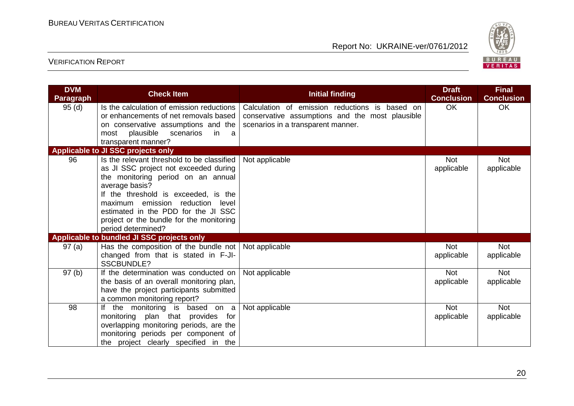

| <b>DVM</b><br><b>Paragraph</b> | <b>Check Item</b>                                                                                                                                                                                                                                                                                                                   | <b>Initial finding</b>                                                                                                                  | <b>Draft</b><br><b>Conclusion</b> | <b>Final</b><br><b>Conclusion</b> |
|--------------------------------|-------------------------------------------------------------------------------------------------------------------------------------------------------------------------------------------------------------------------------------------------------------------------------------------------------------------------------------|-----------------------------------------------------------------------------------------------------------------------------------------|-----------------------------------|-----------------------------------|
| 95(d)                          | Is the calculation of emission reductions<br>or enhancements of net removals based<br>on conservative assumptions and the<br>scenarios<br>plausible<br>in in<br>most<br>- a<br>transparent manner?                                                                                                                                  | Calculation of emission reductions is based on<br>conservative assumptions and the most plausible<br>scenarios in a transparent manner. | <b>OK</b>                         | <b>OK</b>                         |
|                                | Applicable to JI SSC projects only                                                                                                                                                                                                                                                                                                  |                                                                                                                                         |                                   |                                   |
| 96                             | Is the relevant threshold to be classified<br>as JI SSC project not exceeded during<br>the monitoring period on an annual<br>average basis?<br>If the threshold is exceeded, is the<br>maximum emission reduction<br>level<br>estimated in the PDD for the JI SSC<br>project or the bundle for the monitoring<br>period determined? | Not applicable                                                                                                                          | <b>Not</b><br>applicable          | <b>Not</b><br>applicable          |
|                                | Applicable to bundled JI SSC projects only                                                                                                                                                                                                                                                                                          |                                                                                                                                         |                                   |                                   |
| 97(a)                          | Has the composition of the bundle not<br>changed from that is stated in F-JI-<br><b>SSCBUNDLE?</b>                                                                                                                                                                                                                                  | Not applicable                                                                                                                          | <b>Not</b><br>applicable          | <b>Not</b><br>applicable          |
| 97(b)                          | If the determination was conducted on<br>the basis of an overall monitoring plan,<br>have the project participants submitted<br>a common monitoring report?                                                                                                                                                                         | Not applicable                                                                                                                          | <b>Not</b><br>applicable          | <b>Not</b><br>applicable          |
| 98                             | If the monitoring is based on a<br>monitoring plan that provides for<br>overlapping monitoring periods, are the<br>monitoring periods per component of<br>the project clearly specified in the                                                                                                                                      | Not applicable                                                                                                                          | <b>Not</b><br>applicable          | <b>Not</b><br>applicable          |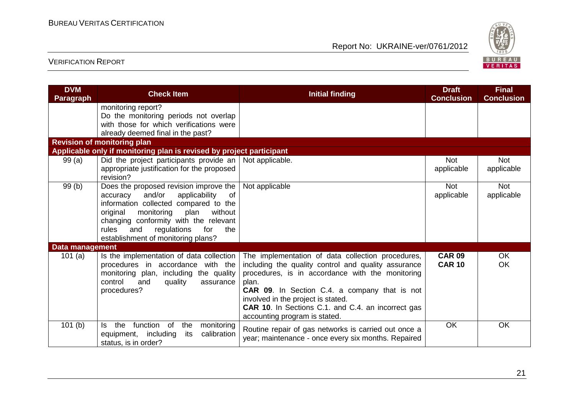

| <b>DVM</b><br><b>Paragraph</b> | <b>Check Item</b>                                                                                                                                                                                                                                                                                     | <b>Initial finding</b>                                                                                                                                                                                                                                                                                                                              | <b>Draft</b><br><b>Conclusion</b> | <b>Final</b><br><b>Conclusion</b> |
|--------------------------------|-------------------------------------------------------------------------------------------------------------------------------------------------------------------------------------------------------------------------------------------------------------------------------------------------------|-----------------------------------------------------------------------------------------------------------------------------------------------------------------------------------------------------------------------------------------------------------------------------------------------------------------------------------------------------|-----------------------------------|-----------------------------------|
|                                | monitoring report?<br>Do the monitoring periods not overlap<br>with those for which verifications were<br>already deemed final in the past?                                                                                                                                                           |                                                                                                                                                                                                                                                                                                                                                     |                                   |                                   |
|                                | <b>Revision of monitoring plan</b>                                                                                                                                                                                                                                                                    |                                                                                                                                                                                                                                                                                                                                                     |                                   |                                   |
|                                | Applicable only if monitoring plan is revised by project participant                                                                                                                                                                                                                                  |                                                                                                                                                                                                                                                                                                                                                     |                                   |                                   |
| 99(a)                          | Did the project participants provide an  <br>appropriate justification for the proposed<br>revision?                                                                                                                                                                                                  | Not applicable.                                                                                                                                                                                                                                                                                                                                     | <b>Not</b><br>applicable          | <b>Not</b><br>applicable          |
| 99(b)                          | Does the proposed revision improve the<br>and/or<br>applicability<br>of<br>accuracy<br>information collected compared to the<br>without<br>original<br>monitoring<br>plan<br>changing conformity with the relevant<br>and<br>regulations<br>for<br>the<br>rules<br>establishment of monitoring plans? | Not applicable                                                                                                                                                                                                                                                                                                                                      | <b>Not</b><br>applicable          | <b>Not</b><br>applicable          |
| <b>Data management</b>         |                                                                                                                                                                                                                                                                                                       |                                                                                                                                                                                                                                                                                                                                                     |                                   |                                   |
| 101 $(a)$                      | Is the implementation of data collection<br>procedures in accordance with the<br>monitoring plan, including the quality<br>control<br>and<br>quality<br>assurance<br>procedures?                                                                                                                      | The implementation of data collection procedures,<br>including the quality control and quality assurance<br>procedures, is in accordance with the monitoring<br>plan.<br>CAR 09. In Section C.4. a company that is not<br>involved in the project is stated.<br>CAR 10. In Sections C.1. and C.4. an incorrect gas<br>accounting program is stated. | <b>CAR 09</b><br><b>CAR 10</b>    | OK<br>OK                          |
| 101(b)                         | function of<br>the<br>the<br>monitoring<br>Is.<br>calibration<br>equipment, including<br>its<br>status, is in order?                                                                                                                                                                                  | Routine repair of gas networks is carried out once a<br>year; maintenance - once every six months. Repaired                                                                                                                                                                                                                                         | OK                                | OK                                |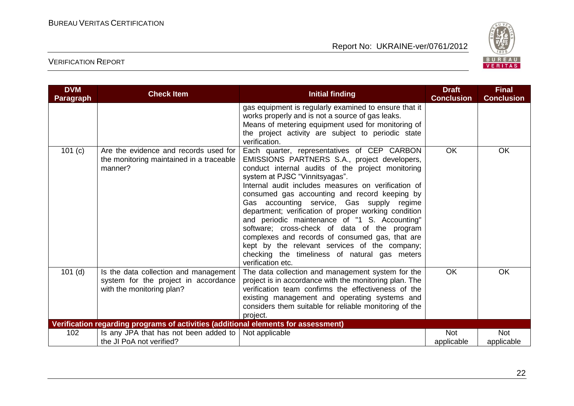

| <b>DVM</b><br>Paragraph | <b>Check Item</b>                                                                                          | <b>Initial finding</b>                                                                                                                                                                                                                                                                                                                                                                                                                                                                                                                                                                                                                                                     | <b>Draft</b><br><b>Conclusion</b> | <b>Final</b><br><b>Conclusion</b> |
|-------------------------|------------------------------------------------------------------------------------------------------------|----------------------------------------------------------------------------------------------------------------------------------------------------------------------------------------------------------------------------------------------------------------------------------------------------------------------------------------------------------------------------------------------------------------------------------------------------------------------------------------------------------------------------------------------------------------------------------------------------------------------------------------------------------------------------|-----------------------------------|-----------------------------------|
|                         |                                                                                                            | gas equipment is regularly examined to ensure that it<br>works properly and is not a source of gas leaks.<br>Means of metering equipment used for monitoring of<br>the project activity are subject to periodic state<br>verification.                                                                                                                                                                                                                                                                                                                                                                                                                                     |                                   |                                   |
| 101 (c)                 | Are the evidence and records used for<br>the monitoring maintained in a traceable<br>manner?               | Each quarter, representatives of CEP CARBON<br>EMISSIONS PARTNERS S.A., project developers,<br>conduct internal audits of the project monitoring<br>system at PJSC "Vinnitsyagas".<br>Internal audit includes measures on verification of<br>consumed gas accounting and record keeping by<br>Gas accounting service, Gas supply regime<br>department; verification of proper working condition<br>and periodic maintenance of "1 S. Accounting"<br>software; cross-check of data of the program<br>complexes and records of consumed gas, that are<br>kept by the relevant services of the company;<br>checking the timeliness of natural gas meters<br>verification etc. | <b>OK</b>                         | <b>OK</b>                         |
| $101$ (d)               | Is the data collection and management<br>system for the project in accordance<br>with the monitoring plan? | The data collection and management system for the<br>project is in accordance with the monitoring plan. The<br>verification team confirms the effectiveness of the<br>existing management and operating systems and<br>considers them suitable for reliable monitoring of the<br>project.                                                                                                                                                                                                                                                                                                                                                                                  | OK                                | <b>OK</b>                         |
|                         | Verification regarding programs of activities (additional elements for assessment)                         |                                                                                                                                                                                                                                                                                                                                                                                                                                                                                                                                                                                                                                                                            |                                   |                                   |
| 102                     | Is any JPA that has not been added to $ $<br>the JI PoA not verified?                                      | Not applicable                                                                                                                                                                                                                                                                                                                                                                                                                                                                                                                                                                                                                                                             | <b>Not</b><br>applicable          | <b>Not</b><br>applicable          |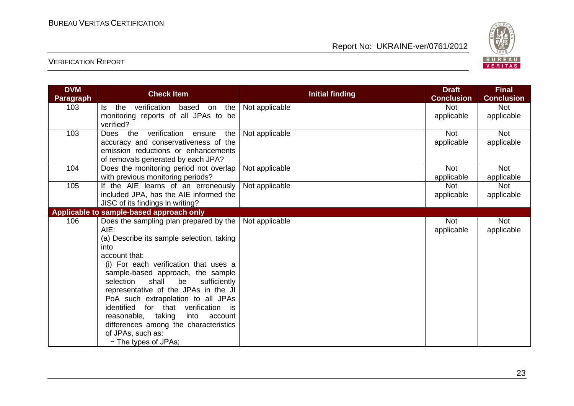

| <b>DVM</b>       | <b>Check Item</b>                                | <b>Initial finding</b> | <b>Draft</b>      | <b>Final</b>      |
|------------------|--------------------------------------------------|------------------------|-------------------|-------------------|
| <b>Paragraph</b> |                                                  |                        | <b>Conclusion</b> | <b>Conclusion</b> |
| 103              | verification<br>based<br>the<br>the<br>on<br>ls. | Not applicable         | Not               | <b>Not</b>        |
|                  | monitoring reports of all JPAs to be             |                        | applicable        | applicable        |
|                  | verified?                                        |                        |                   |                   |
| 103              | Does the verification<br>the<br>ensure           | Not applicable         | <b>Not</b>        | <b>Not</b>        |
|                  | accuracy and conservativeness of the             |                        | applicable        | applicable        |
|                  | emission reductions or enhancements              |                        |                   |                   |
|                  | of removals generated by each JPA?               |                        |                   |                   |
| 104              | Does the monitoring period not overlap           | Not applicable         | Not               | <b>Not</b>        |
|                  | with previous monitoring periods?                |                        | applicable        | applicable        |
| 105              | If the AIE learns of an erroneously              | Not applicable         | Not               | <b>Not</b>        |
|                  | included JPA, has the AIE informed the           |                        | applicable        | applicable        |
|                  | JISC of its findings in writing?                 |                        |                   |                   |
|                  | Applicable to sample-based approach only         |                        |                   |                   |
| 106              | Does the sampling plan prepared by the           | Not applicable         | <b>Not</b>        | <b>Not</b>        |
|                  | AIE:                                             |                        | applicable        | applicable        |
|                  | (a) Describe its sample selection, taking        |                        |                   |                   |
|                  | into                                             |                        |                   |                   |
|                  | account that:                                    |                        |                   |                   |
|                  | (i) For each verification that uses a            |                        |                   |                   |
|                  | sample-based approach, the sample                |                        |                   |                   |
|                  | shall<br>sufficiently<br>selection<br>be         |                        |                   |                   |
|                  | representative of the JPAs in the JI             |                        |                   |                   |
|                  | PoA such extrapolation to all JPAs               |                        |                   |                   |
|                  | identified for that verification is              |                        |                   |                   |
|                  | reasonable, taking<br>into<br>account            |                        |                   |                   |
|                  | differences among the characteristics            |                        |                   |                   |
|                  | of JPAs, such as:                                |                        |                   |                   |
|                  | - The types of JPAs;                             |                        |                   |                   |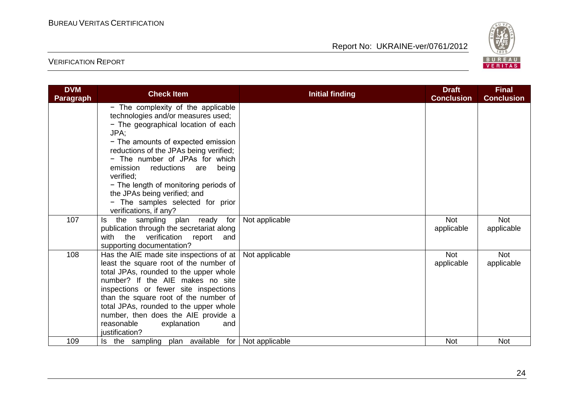

| <b>DVM</b><br>Paragraph | <b>Check Item</b>                                                                                                                                                                                                                                                                                                                                                                                       | <b>Initial finding</b> | <b>Draft</b><br><b>Conclusion</b> | <b>Final</b><br><b>Conclusion</b> |
|-------------------------|---------------------------------------------------------------------------------------------------------------------------------------------------------------------------------------------------------------------------------------------------------------------------------------------------------------------------------------------------------------------------------------------------------|------------------------|-----------------------------------|-----------------------------------|
|                         | - The complexity of the applicable<br>technologies and/or measures used;<br>- The geographical location of each<br>JPA;<br>- The amounts of expected emission<br>reductions of the JPAs being verified;<br>- The number of JPAs for which<br>emission reductions are<br>being<br>verified:<br>- The length of monitoring periods of<br>the JPAs being verified; and<br>- The samples selected for prior |                        |                                   |                                   |
| 107                     | verifications, if any?<br>the sampling plan ready for<br>ls.<br>publication through the secretariat along<br>with the verification report<br>and<br>supporting documentation?                                                                                                                                                                                                                           | Not applicable         | <b>Not</b><br>applicable          | <b>Not</b><br>applicable          |
| 108                     | Has the AIE made site inspections of at<br>least the square root of the number of<br>total JPAs, rounded to the upper whole<br>number? If the AIE makes no site<br>inspections or fewer site inspections<br>than the square root of the number of<br>total JPAs, rounded to the upper whole<br>number, then does the AIE provide a<br>reasonable<br>explanation<br>and<br>justification?                | Not applicable         | <b>Not</b><br>applicable          | <b>Not</b><br>applicable          |
| 109                     | Is the sampling plan available for                                                                                                                                                                                                                                                                                                                                                                      | Not applicable         | <b>Not</b>                        | <b>Not</b>                        |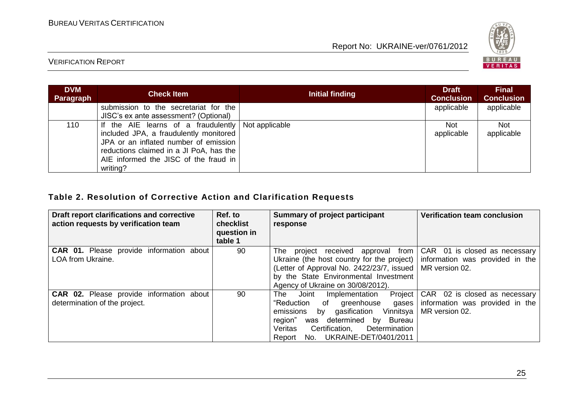

## VERIFICATION REPORT

| <b>DVM</b><br>Paragraph | <b>Check Item</b>                                                                                                                                                                                                      | Initial finding | <b>Draft</b><br><b>Conclusion</b> | <b>Final</b><br><b>Conclusion</b> |
|-------------------------|------------------------------------------------------------------------------------------------------------------------------------------------------------------------------------------------------------------------|-----------------|-----------------------------------|-----------------------------------|
|                         | submission to the secretariat for the<br>JISC's ex ante assessment? (Optional)                                                                                                                                         |                 | applicable                        | applicable                        |
| 110                     | If the AIE learns of a fraudulently<br>included JPA, a fraudulently monitored<br>JPA or an inflated number of emission<br>reductions claimed in a JI PoA, has the<br>AIE informed the JISC of the fraud in<br>writing? | Not applicable  | <b>Not</b><br>applicable          | <b>Not</b><br>applicable          |

# **Table 2. Resolution of Corrective Action and Clarification Requests**

| Draft report clarifications and corrective<br>action requests by verification team | Ref. to<br>checklist<br>question in<br>table 1 | Summary of project participant<br>response                                                                                                                                                                                                                                | Verification team conclusion                                                         |
|------------------------------------------------------------------------------------|------------------------------------------------|---------------------------------------------------------------------------------------------------------------------------------------------------------------------------------------------------------------------------------------------------------------------------|--------------------------------------------------------------------------------------|
| <b>CAR 01.</b> Please provide information about<br>LOA from Ukraine.               | 90                                             | The project received<br>approval from<br>Ukraine (the host country for the project)  <br>(Letter of Approval No. 2422/23/7, issued  <br>by the State Environmental Investment<br>Agency of Ukraine on 30/08/2012).                                                        | CAR 01 is closed as necessary  <br>information was provided in the<br>MR version 02. |
| CAR 02. Please provide information about<br>determination of the project.          | 90                                             | Project  <br>Joint<br>The<br>Implementation<br>"Reduction<br>$\circ$ of<br>greenhouse<br>gases  <br>by gasification Vinnitsya<br>emissions<br>was determined by<br>region"<br>Bureau<br>Certification,<br>Veritas<br>Determination<br>No. UKRAINE-DET/0401/2011<br>Report | CAR 02 is closed as necessary<br>information was provided in the<br>MR version 02.   |